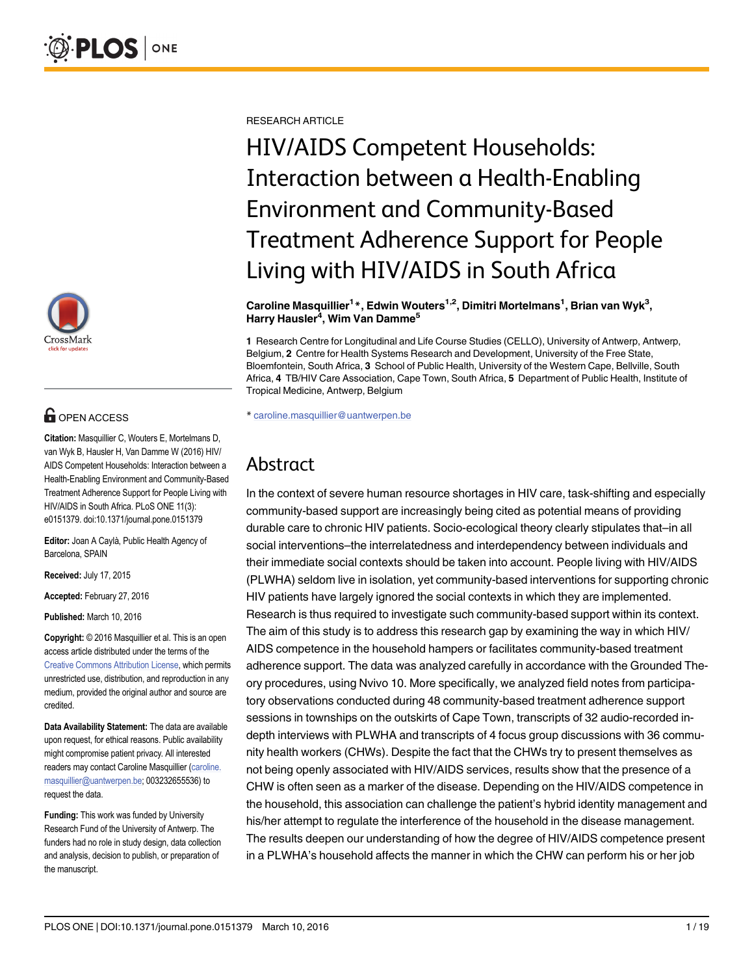

# **OPEN ACCESS**

Citation: Masquillier C, Wouters E, Mortelmans D, van Wyk B, Hausler H, Van Damme W (2016) HIV/ AIDS Competent Households: Interaction between a Health-Enabling Environment and Community-Based Treatment Adherence Support for People Living with HIV/AIDS in South Africa. PLoS ONE 11(3): e0151379. doi:10.1371/journal.pone.0151379

Editor: Joan A Caylà, Public Health Agency of Barcelona, SPAIN

Received: July 17, 2015

Accepted: February 27, 2016

Published: March 10, 2016

Copyright: © 2016 Masquillier et al. This is an open access article distributed under the terms of the [Creative Commons Attribution License,](http://creativecommons.org/licenses/by/4.0/) which permits unrestricted use, distribution, and reproduction in any medium, provided the original author and source are credited.

Data Availability Statement: The data are available upon request, for ethical reasons. Public availability might compromise patient privacy. All interested readers may contact Caroline Masquillier (caroline. masquillier@uantwerpen.be; 003232655536) to request the data.

Funding: This work was funded by University Research Fund of the University of Antwerp. The funders had no role in study design, data collection and analysis, decision to publish, or preparation of the manuscript.

RESEARCH ARTICLE

HIV/AIDS Competent Households: Interaction between a Health-Enabling Environment and Community-Based Treatment Adherence Support for People Living with HIV/AIDS in South Africa

Caroline Masquillier<sup>1</sup>\*, Edwin Wouters<sup>1,2</sup>, Dimitri Mortelmans<sup>1</sup>, Brian van Wyk<sup>3</sup>, Harry Hausler<sup>4</sup>, Wim Van Damme<sup>5</sup>

1 Research Centre for Longitudinal and Life Course Studies (CELLO), University of Antwerp, Antwerp, Belgium, 2 Centre for Health Systems Research and Development, University of the Free State, Bloemfontein, South Africa, 3 School of Public Health, University of the Western Cape, Bellville, South Africa, 4 TB/HIV Care Association, Cape Town, South Africa, 5 Department of Public Health, Institute of Tropical Medicine, Antwerp, Belgium

\* caroline.masquillier@uantwerpen.be

## Abstract

In the context of severe human resource shortages in HIV care, task-shifting and especially community-based support are increasingly being cited as potential means of providing durable care to chronic HIV patients. Socio-ecological theory clearly stipulates that–in all social interventions–the interrelatedness and interdependency between individuals and their immediate social contexts should be taken into account. People living with HIV/AIDS (PLWHA) seldom live in isolation, yet community-based interventions for supporting chronic HIV patients have largely ignored the social contexts in which they are implemented. Research is thus required to investigate such community-based support within its context. The aim of this study is to address this research gap by examining the way in which HIV/ AIDS competence in the household hampers or facilitates community-based treatment adherence support. The data was analyzed carefully in accordance with the Grounded Theory procedures, using Nvivo 10. More specifically, we analyzed field notes from participatory observations conducted during 48 community-based treatment adherence support sessions in townships on the outskirts of Cape Town, transcripts of 32 audio-recorded indepth interviews with PLWHA and transcripts of 4 focus group discussions with 36 community health workers (CHWs). Despite the fact that the CHWs try to present themselves as not being openly associated with HIV/AIDS services, results show that the presence of a CHW is often seen as a marker of the disease. Depending on the HIV/AIDS competence in the household, this association can challenge the patient's hybrid identity management and his/her attempt to regulate the interference of the household in the disease management. The results deepen our understanding of how the degree of HIV/AIDS competence present in a PLWHA's household affects the manner in which the CHW can perform his or her job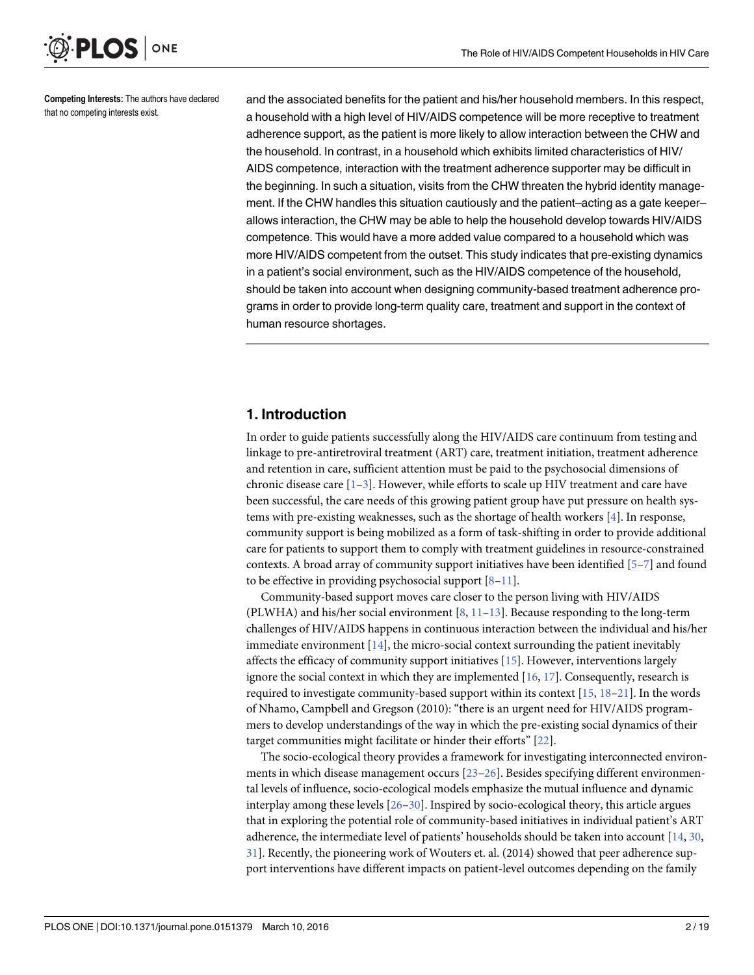Competing Interests: The authors have declared that no competing interests exist.

ONE

<span id="page-1-0"></span>**PLOS I** 

and the associated benefits for the patient and his/her household members. In this respect, a household with a high level of HIV/AIDS competence will be more receptive to treatment adherence support, as the patient is more likely to allow interaction between the CHW and the household. In contrast, in a household which exhibits limited characteristics of HIV/ AIDS competence, interaction with the treatment adherence supporter may be difficult in the beginning. In such a situation, visits from the CHW threaten the hybrid identity management. If the CHW handles this situation cautiously and the patient–acting as a gate keeper– allows interaction, the CHW may be able to help the household develop towards HIV/AIDS competence. This would have a more added value compared to a household which was more HIV/AIDS competent from the outset. This study indicates that pre-existing dynamics in a patient's social environment, such as the HIV/AIDS competence of the household, should be taken into account when designing community-based treatment adherence programs in order to provide long-term quality care, treatment and support in the context of human resource shortages.

#### 1. Introduction

In order to guide patients successfully along the HIV/AIDS care continuum from testing and linkage to pre-antiretroviral treatment (ART) care, treatment initiation, treatment adherence and retention in care, sufficient attention must be paid to the psychosocial dimensions of chronic disease care  $[1-3]$  $[1-3]$  $[1-3]$  $[1-3]$  $[1-3]$ . However, while efforts to scale up HIV treatment and care have been successful, the care needs of this growing patient group have put pressure on health systems with pre-existing weaknesses, such as the shortage of health workers [[4\]](#page-15-0). In response, community support is being mobilized as a form of task-shifting in order to provide additional care for patients to support them to comply with treatment guidelines in resource-constrained contexts. A broad array of community support initiatives have been identified [[5](#page-15-0)–[7\]](#page-15-0) and found to be effective in providing psychosocial support  $[8-11]$  $[8-11]$  $[8-11]$  $[8-11]$  $[8-11]$ .

Community-based support moves care closer to the person living with HIV/AIDS (PLWHA) and his/her social environment  $[8, 11-13]$  $[8, 11-13]$  $[8, 11-13]$  $[8, 11-13]$  $[8, 11-13]$ . Because responding to the long-term challenges of HIV/AIDS happens in continuous interaction between the individual and his/her immediate environment  $[14]$  $[14]$  $[14]$ , the micro-social context surrounding the patient inevitably affects the efficacy of community support initiatives  $[15]$ . However, interventions largely ignore the social context in which they are implemented  $[16, 17]$  $[16, 17]$  $[16, 17]$ . Consequently, research is required to investigate community-based support within its context  $[15, 18-21]$  $[15, 18-21]$  $[15, 18-21]$  $[15, 18-21]$  $[15, 18-21]$  $[15, 18-21]$  $[15, 18-21]$ . In the words of Nhamo, Campbell and Gregson (2010): "there is an urgent need for HIV/AIDS programmers to develop understandings of the way in which the pre-existing social dynamics of their target communities might facilitate or hinder their efforts" [[22](#page-16-0)].

The socio-ecological theory provides a framework for investigating interconnected environments in which disease management occurs  $[23-26]$  $[23-26]$  $[23-26]$  $[23-26]$  $[23-26]$ . Besides specifying different environmental levels of influence, socio-ecological models emphasize the mutual influence and dynamic interplay among these levels  $[26-30]$  $[26-30]$  $[26-30]$ . Inspired by socio-ecological theory, this article argues that in exploring the potential role of community-based initiatives in individual patient's ART adherence, the intermediate level of patients' households should be taken into account  $[14, 30, 16]$  $[14, 30, 16]$  $[14, 30, 16]$  $[14, 30, 16]$  $[14, 30, 16]$ [31\]](#page-16-0). Recently, the pioneering work of Wouters et. al. (2014) showed that peer adherence support interventions have different impacts on patient-level outcomes depending on the family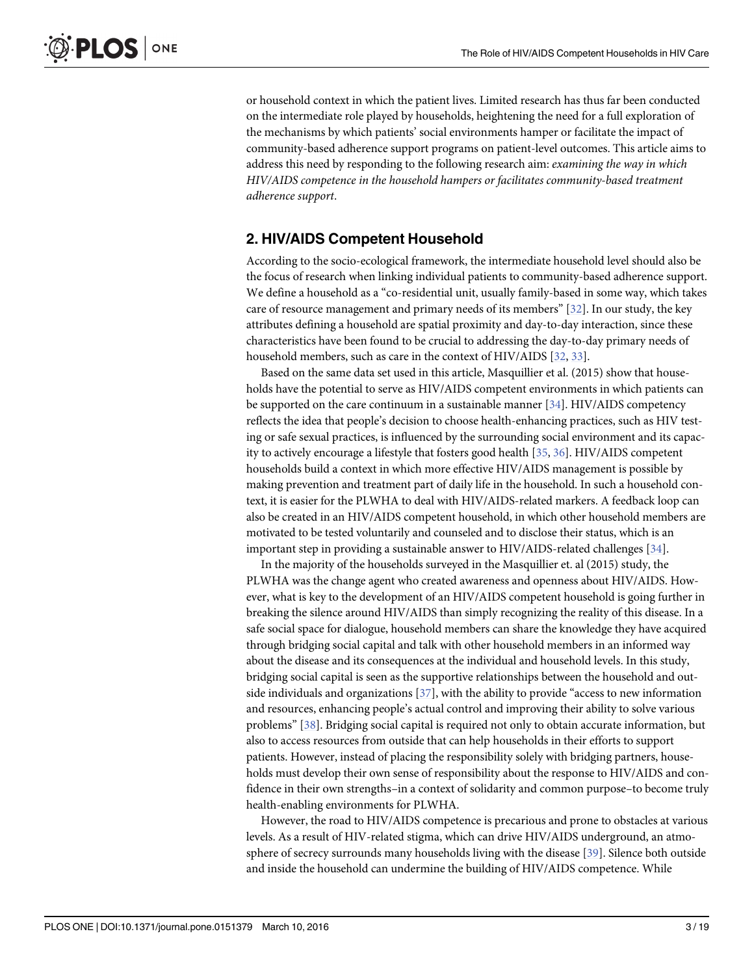<span id="page-2-0"></span>or household context in which the patient lives. Limited research has thus far been conducted on the intermediate role played by households, heightening the need for a full exploration of the mechanisms by which patients' social environments hamper or facilitate the impact of community-based adherence support programs on patient-level outcomes. This article aims to address this need by responding to the following research aim: *examining the way in which* HIV/AIDS competence in the household hampers or facilitates community-based treatment adherence support.

### 2. HIV/AIDS Competent Household

According to the socio-ecological framework, the intermediate household level should also be the focus of research when linking individual patients to community-based adherence support. We define a household as a "co-residential unit, usually family-based in some way, which takes care of resource management and primary needs of its members" [\[32\]](#page-16-0). In our study, the key attributes defining a household are spatial proximity and day-to-day interaction, since these characteristics have been found to be crucial to addressing the day-to-day primary needs of household members, such as care in the context of HIV/AIDS [\[32,](#page-16-0) [33\]](#page-16-0).

Based on the same data set used in this article, Masquillier et al. (2015) show that households have the potential to serve as HIV/AIDS competent environments in which patients can be supported on the care continuum in a sustainable manner  $[34]$ . HIV/AIDS competency reflects the idea that people's decision to choose health-enhancing practices, such as HIV testing or safe sexual practices, is influenced by the surrounding social environment and its capacity to actively encourage a lifestyle that fosters good health [\[35,](#page-16-0) [36\]](#page-16-0). HIV/AIDS competent households build a context in which more effective HIV/AIDS management is possible by making prevention and treatment part of daily life in the household. In such a household context, it is easier for the PLWHA to deal with HIV/AIDS-related markers. A feedback loop can also be created in an HIV/AIDS competent household, in which other household members are motivated to be tested voluntarily and counseled and to disclose their status, which is an important step in providing a sustainable answer to HIV/AIDS-related challenges [\[34\]](#page-16-0).

In the majority of the households surveyed in the Masquillier et. al (2015) study, the PLWHA was the change agent who created awareness and openness about HIV/AIDS. However, what is key to the development of an HIV/AIDS competent household is going further in breaking the silence around HIV/AIDS than simply recognizing the reality of this disease. In a safe social space for dialogue, household members can share the knowledge they have acquired through bridging social capital and talk with other household members in an informed way about the disease and its consequences at the individual and household levels. In this study, bridging social capital is seen as the supportive relationships between the household and outside individuals and organizations [[37](#page-16-0)], with the ability to provide "access to new information and resources, enhancing people's actual control and improving their ability to solve various problems" [[38\]](#page-16-0). Bridging social capital is required not only to obtain accurate information, but also to access resources from outside that can help households in their efforts to support patients. However, instead of placing the responsibility solely with bridging partners, households must develop their own sense of responsibility about the response to HIV/AIDS and confidence in their own strengths–in a context of solidarity and common purpose–to become truly health-enabling environments for PLWHA.

However, the road to HIV/AIDS competence is precarious and prone to obstacles at various levels. As a result of HIV-related stigma, which can drive HIV/AIDS underground, an atmo-sphere of secrecy surrounds many households living with the disease [[39](#page-16-0)]. Silence both outside and inside the household can undermine the building of HIV/AIDS competence. While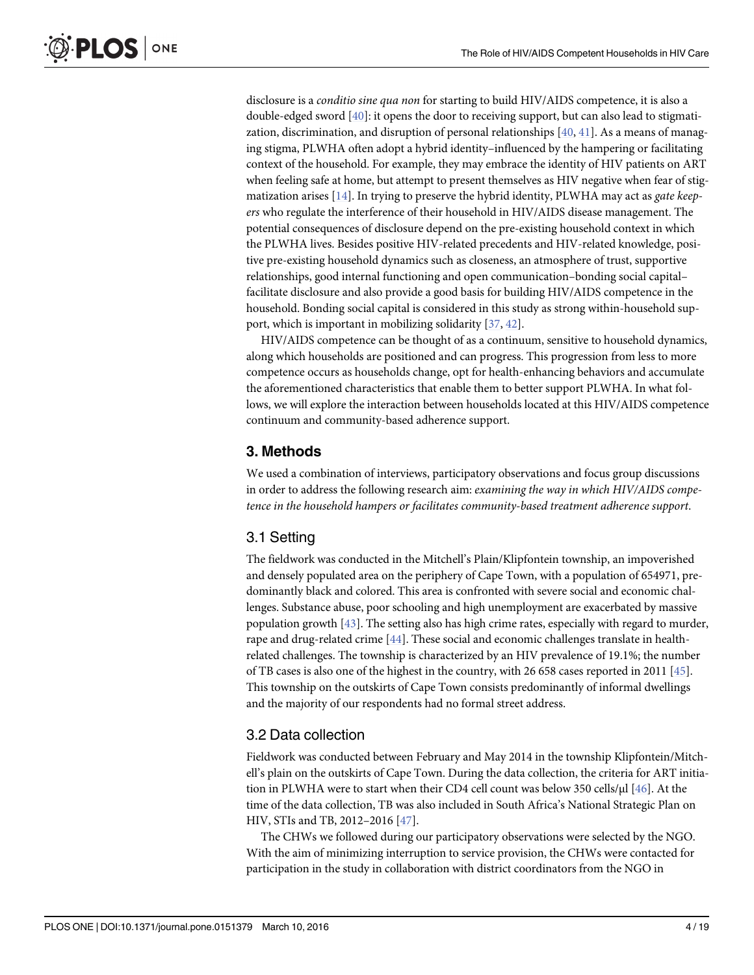<span id="page-3-0"></span>disclosure is a *conditio sine qua non* for starting to build HIV/AIDS competence, it is also a double-edged sword [\[40\]](#page-16-0): it opens the door to receiving support, but can also lead to stigmatization, discrimination, and disruption of personal relationships  $[40, 41]$  $[40, 41]$  $[40, 41]$ . As a means of managing stigma, PLWHA often adopt a hybrid identity–influenced by the hampering or facilitating context of the household. For example, they may embrace the identity of HIV patients on ART when feeling safe at home, but attempt to present themselves as HIV negative when fear of stigmatization arises  $[14]$  $[14]$  $[14]$ . In trying to preserve the hybrid identity, PLWHA may act as *gate keep*ers who regulate the interference of their household in HIV/AIDS disease management. The potential consequences of disclosure depend on the pre-existing household context in which the PLWHA lives. Besides positive HIV-related precedents and HIV-related knowledge, positive pre-existing household dynamics such as closeness, an atmosphere of trust, supportive relationships, good internal functioning and open communication–bonding social capital– facilitate disclosure and also provide a good basis for building HIV/AIDS competence in the household. Bonding social capital is considered in this study as strong within-household support, which is important in mobilizing solidarity [[37](#page-16-0), [42](#page-16-0)].

HIV/AIDS competence can be thought of as a continuum, sensitive to household dynamics, along which households are positioned and can progress. This progression from less to more competence occurs as households change, opt for health-enhancing behaviors and accumulate the aforementioned characteristics that enable them to better support PLWHA. In what follows, we will explore the interaction between households located at this HIV/AIDS competence continuum and community-based adherence support.

## 3. Methods

We used a combination of interviews, participatory observations and focus group discussions in order to address the following research aim: *examining the way in which HIV/AIDS compe*tence in the household hampers or facilitates community-based treatment adherence support.

## 3.1 Setting

The fieldwork was conducted in the Mitchell's Plain/Klipfontein township, an impoverished and densely populated area on the periphery of Cape Town, with a population of 654971, predominantly black and colored. This area is confronted with severe social and economic challenges. Substance abuse, poor schooling and high unemployment are exacerbated by massive population growth [[43](#page-16-0)]. The setting also has high crime rates, especially with regard to murder, rape and drug-related crime [[44](#page-17-0)]. These social and economic challenges translate in healthrelated challenges. The township is characterized by an HIV prevalence of 19.1%; the number of TB cases is also one of the highest in the country, with 26 658 cases reported in 2011 [\[45](#page-17-0)]. This township on the outskirts of Cape Town consists predominantly of informal dwellings and the majority of our respondents had no formal street address.

## 3.2 Data collection

Fieldwork was conducted between February and May 2014 in the township Klipfontein/Mitchell's plain on the outskirts of Cape Town. During the data collection, the criteria for ART initiation in PLWHA were to start when their CD4 cell count was below 350 cells/ $\mu$  [[46\]](#page-17-0). At the time of the data collection, TB was also included in South Africa's National Strategic Plan on HIV, STIs and TB, 2012–2016 [\[47\]](#page-17-0).

The CHWs we followed during our participatory observations were selected by the NGO. With the aim of minimizing interruption to service provision, the CHWs were contacted for participation in the study in collaboration with district coordinators from the NGO in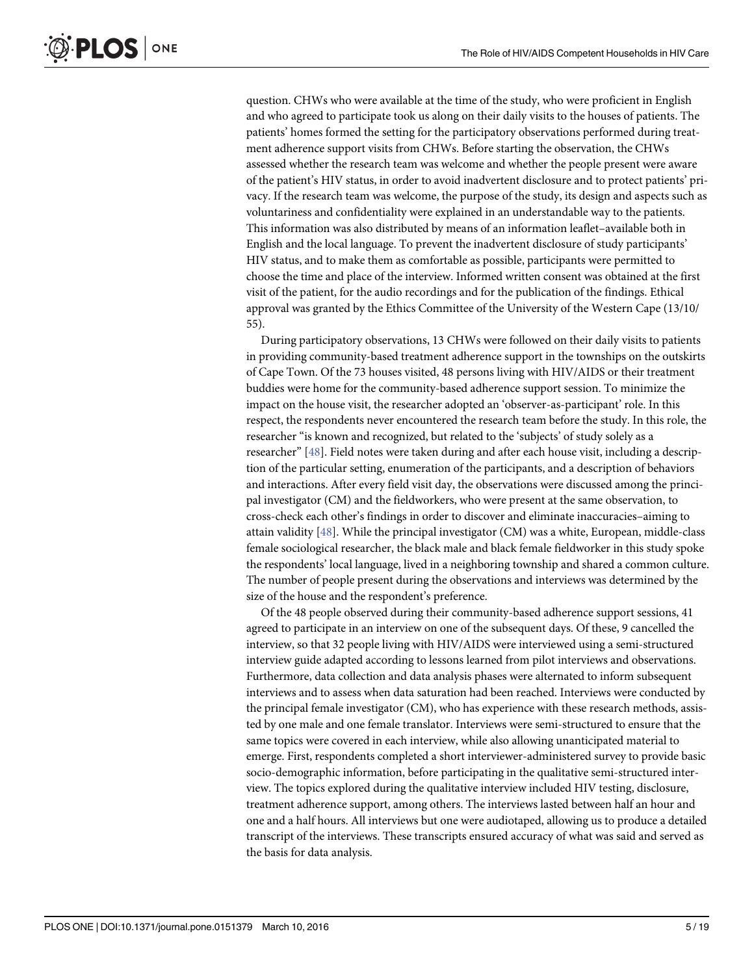<span id="page-4-0"></span>question. CHWs who were available at the time of the study, who were proficient in English and who agreed to participate took us along on their daily visits to the houses of patients. The patients' homes formed the setting for the participatory observations performed during treatment adherence support visits from CHWs. Before starting the observation, the CHWs assessed whether the research team was welcome and whether the people present were aware of the patient's HIV status, in order to avoid inadvertent disclosure and to protect patients' privacy. If the research team was welcome, the purpose of the study, its design and aspects such as voluntariness and confidentiality were explained in an understandable way to the patients. This information was also distributed by means of an information leaflet–available both in English and the local language. To prevent the inadvertent disclosure of study participants' HIV status, and to make them as comfortable as possible, participants were permitted to choose the time and place of the interview. Informed written consent was obtained at the first visit of the patient, for the audio recordings and for the publication of the findings. Ethical approval was granted by the Ethics Committee of the University of the Western Cape (13/10/ 55).

During participatory observations, 13 CHWs were followed on their daily visits to patients in providing community-based treatment adherence support in the townships on the outskirts of Cape Town. Of the 73 houses visited, 48 persons living with HIV/AIDS or their treatment buddies were home for the community-based adherence support session. To minimize the impact on the house visit, the researcher adopted an 'observer-as-participant' role. In this respect, the respondents never encountered the research team before the study. In this role, the researcher "is known and recognized, but related to the 'subjects' of study solely as a researcher" [[48](#page-17-0)]. Field notes were taken during and after each house visit, including a description of the particular setting, enumeration of the participants, and a description of behaviors and interactions. After every field visit day, the observations were discussed among the principal investigator (CM) and the fieldworkers, who were present at the same observation, to cross-check each other's findings in order to discover and eliminate inaccuracies–aiming to attain validity [\[48\]](#page-17-0). While the principal investigator (CM) was a white, European, middle-class female sociological researcher, the black male and black female fieldworker in this study spoke the respondents' local language, lived in a neighboring township and shared a common culture. The number of people present during the observations and interviews was determined by the size of the house and the respondent's preference.

Of the 48 people observed during their community-based adherence support sessions, 41 agreed to participate in an interview on one of the subsequent days. Of these, 9 cancelled the interview, so that 32 people living with HIV/AIDS were interviewed using a semi-structured interview guide adapted according to lessons learned from pilot interviews and observations. Furthermore, data collection and data analysis phases were alternated to inform subsequent interviews and to assess when data saturation had been reached. Interviews were conducted by the principal female investigator (CM), who has experience with these research methods, assisted by one male and one female translator. Interviews were semi-structured to ensure that the same topics were covered in each interview, while also allowing unanticipated material to emerge. First, respondents completed a short interviewer-administered survey to provide basic socio-demographic information, before participating in the qualitative semi-structured interview. The topics explored during the qualitative interview included HIV testing, disclosure, treatment adherence support, among others. The interviews lasted between half an hour and one and a half hours. All interviews but one were audiotaped, allowing us to produce a detailed transcript of the interviews. These transcripts ensured accuracy of what was said and served as the basis for data analysis.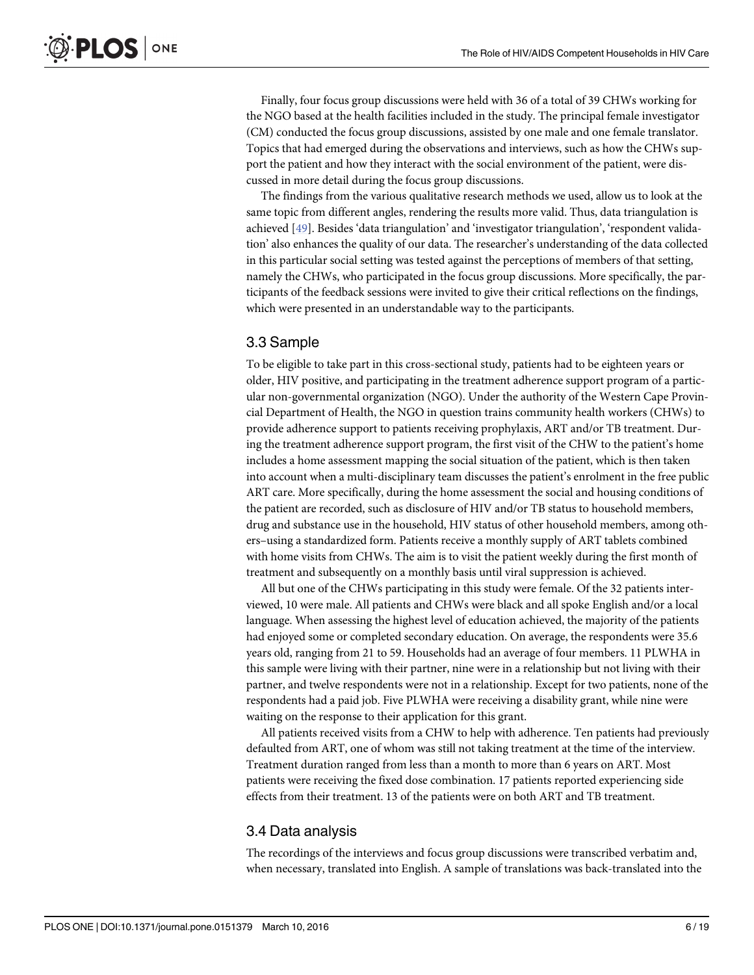<span id="page-5-0"></span>Finally, four focus group discussions were held with 36 of a total of 39 CHWs working for the NGO based at the health facilities included in the study. The principal female investigator (CM) conducted the focus group discussions, assisted by one male and one female translator. Topics that had emerged during the observations and interviews, such as how the CHWs support the patient and how they interact with the social environment of the patient, were discussed in more detail during the focus group discussions.

The findings from the various qualitative research methods we used, allow us to look at the same topic from different angles, rendering the results more valid. Thus, data triangulation is achieved [\[49\]](#page-17-0). Besides 'data triangulation' and 'investigator triangulation', 'respondent validation' also enhances the quality of our data. The researcher's understanding of the data collected in this particular social setting was tested against the perceptions of members of that setting, namely the CHWs, who participated in the focus group discussions. More specifically, the participants of the feedback sessions were invited to give their critical reflections on the findings, which were presented in an understandable way to the participants.

#### 3.3 Sample

To be eligible to take part in this cross-sectional study, patients had to be eighteen years or older, HIV positive, and participating in the treatment adherence support program of a particular non-governmental organization (NGO). Under the authority of the Western Cape Provincial Department of Health, the NGO in question trains community health workers (CHWs) to provide adherence support to patients receiving prophylaxis, ART and/or TB treatment. During the treatment adherence support program, the first visit of the CHW to the patient's home includes a home assessment mapping the social situation of the patient, which is then taken into account when a multi-disciplinary team discusses the patient's enrolment in the free public ART care. More specifically, during the home assessment the social and housing conditions of the patient are recorded, such as disclosure of HIV and/or TB status to household members, drug and substance use in the household, HIV status of other household members, among others–using a standardized form. Patients receive a monthly supply of ART tablets combined with home visits from CHWs. The aim is to visit the patient weekly during the first month of treatment and subsequently on a monthly basis until viral suppression is achieved.

All but one of the CHWs participating in this study were female. Of the 32 patients interviewed, 10 were male. All patients and CHWs were black and all spoke English and/or a local language. When assessing the highest level of education achieved, the majority of the patients had enjoyed some or completed secondary education. On average, the respondents were 35.6 years old, ranging from 21 to 59. Households had an average of four members. 11 PLWHA in this sample were living with their partner, nine were in a relationship but not living with their partner, and twelve respondents were not in a relationship. Except for two patients, none of the respondents had a paid job. Five PLWHA were receiving a disability grant, while nine were waiting on the response to their application for this grant.

All patients received visits from a CHW to help with adherence. Ten patients had previously defaulted from ART, one of whom was still not taking treatment at the time of the interview. Treatment duration ranged from less than a month to more than 6 years on ART. Most patients were receiving the fixed dose combination. 17 patients reported experiencing side effects from their treatment. 13 of the patients were on both ART and TB treatment.

### 3.4 Data analysis

The recordings of the interviews and focus group discussions were transcribed verbatim and, when necessary, translated into English. A sample of translations was back-translated into the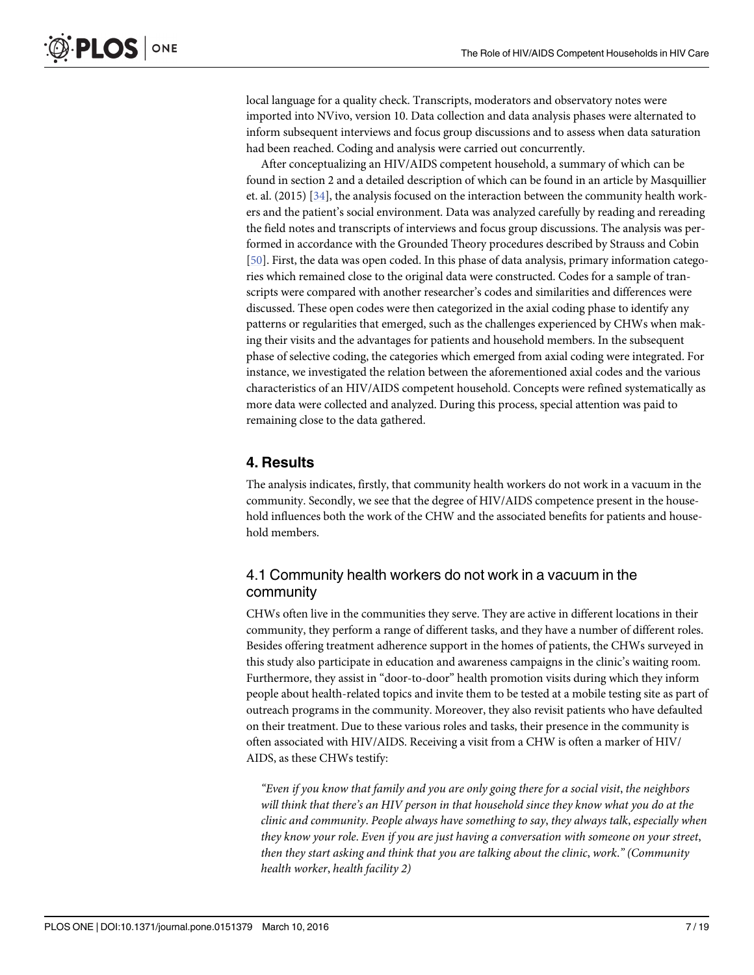<span id="page-6-0"></span>local language for a quality check. Transcripts, moderators and observatory notes were imported into NVivo, version 10. Data collection and data analysis phases were alternated to inform subsequent interviews and focus group discussions and to assess when data saturation had been reached. Coding and analysis were carried out concurrently.

After conceptualizing an HIV/AIDS competent household, a summary of which can be found in section 2 and a detailed description of which can be found in an article by Masquillier et. al. (2015) [[34](#page-16-0)], the analysis focused on the interaction between the community health workers and the patient's social environment. Data was analyzed carefully by reading and rereading the field notes and transcripts of interviews and focus group discussions. The analysis was performed in accordance with the Grounded Theory procedures described by Strauss and Cobin [\[50](#page-17-0)]. First, the data was open coded. In this phase of data analysis, primary information categories which remained close to the original data were constructed. Codes for a sample of transcripts were compared with another researcher's codes and similarities and differences were discussed. These open codes were then categorized in the axial coding phase to identify any patterns or regularities that emerged, such as the challenges experienced by CHWs when making their visits and the advantages for patients and household members. In the subsequent phase of selective coding, the categories which emerged from axial coding were integrated. For instance, we investigated the relation between the aforementioned axial codes and the various characteristics of an HIV/AIDS competent household. Concepts were refined systematically as more data were collected and analyzed. During this process, special attention was paid to remaining close to the data gathered.

## 4. Results

The analysis indicates, firstly, that community health workers do not work in a vacuum in the community. Secondly, we see that the degree of HIV/AIDS competence present in the household influences both the work of the CHW and the associated benefits for patients and household members.

## 4.1 Community health workers do not work in a vacuum in the community

CHWs often live in the communities they serve. They are active in different locations in their community, they perform a range of different tasks, and they have a number of different roles. Besides offering treatment adherence support in the homes of patients, the CHWs surveyed in this study also participate in education and awareness campaigns in the clinic's waiting room. Furthermore, they assist in "door-to-door" health promotion visits during which they inform people about health-related topics and invite them to be tested at a mobile testing site as part of outreach programs in the community. Moreover, they also revisit patients who have defaulted on their treatment. Due to these various roles and tasks, their presence in the community is often associated with HIV/AIDS. Receiving a visit from a CHW is often a marker of HIV/ AIDS, as these CHWs testify:

"Even if you know that family and you are only going there for a social visit, the neighbors will think that there's an HIV person in that household since they know what you do at the clinic and community. People always have something to say, they always talk, especially when they know your role. Even if you are just having a conversation with someone on your street, then they start asking and think that you are talking about the clinic, work." (Community health worker, health facility 2)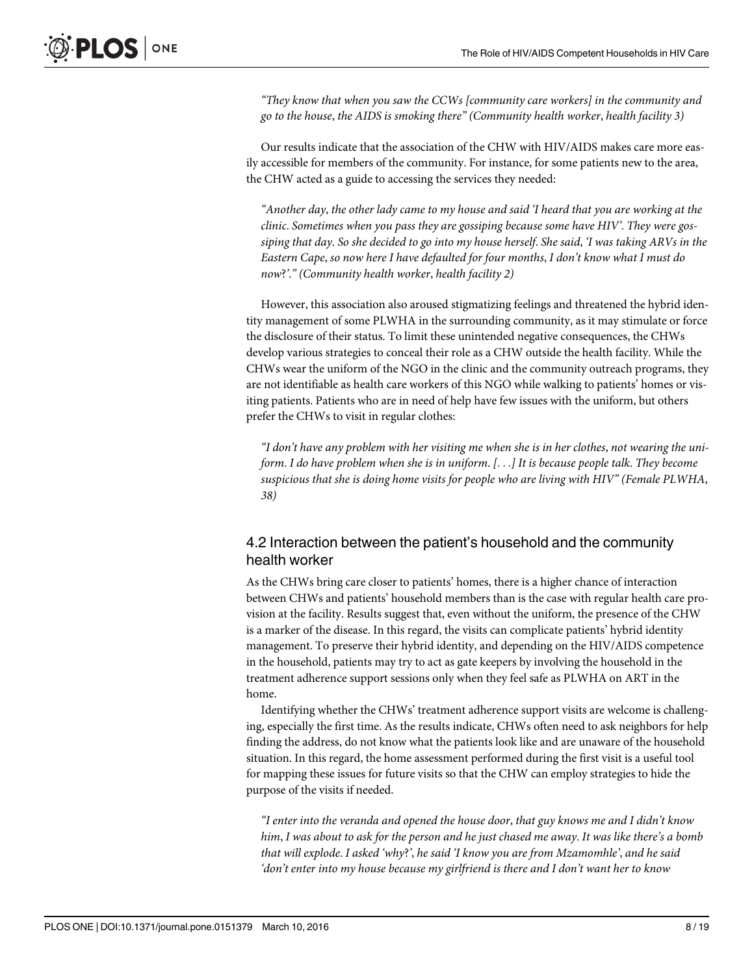"They know that when you saw the CCWs [community care workers] in the community and go to the house, the AIDS is smoking there" (Community health worker, health facility 3)

Our results indicate that the association of the CHW with HIV/AIDS makes care more easily accessible for members of the community. For instance, for some patients new to the area, the CHW acted as a guide to accessing the services they needed:

"Another day, the other lady came to my house and said 'I heard that you are working at the clinic. Sometimes when you pass they are gossiping because some have HIV'. They were gossiping that day. So she decided to go into my house herself. She said, 'I was taking ARVs in the Eastern Cape, so now here I have defaulted for four months, I don't know what I must do now?'." (Community health worker, health facility 2)

However, this association also aroused stigmatizing feelings and threatened the hybrid identity management of some PLWHA in the surrounding community, as it may stimulate or force the disclosure of their status. To limit these unintended negative consequences, the CHWs develop various strategies to conceal their role as a CHW outside the health facility. While the CHWs wear the uniform of the NGO in the clinic and the community outreach programs, they are not identifiable as health care workers of this NGO while walking to patients' homes or visiting patients. Patients who are in need of help have few issues with the uniform, but others prefer the CHWs to visit in regular clothes:

"I don't have any problem with her visiting me when she is in her clothes, not wearing the uniform. I do have problem when she is in uniform. [...] It is because people talk. They become suspicious that she is doing home visits for people who are living with HIV" (Female PLWHA, 38)

## 4.2 Interaction between the patient's household and the community health worker

As the CHWs bring care closer to patients' homes, there is a higher chance of interaction between CHWs and patients' household members than is the case with regular health care provision at the facility. Results suggest that, even without the uniform, the presence of the CHW is a marker of the disease. In this regard, the visits can complicate patients' hybrid identity management. To preserve their hybrid identity, and depending on the HIV/AIDS competence in the household, patients may try to act as gate keepers by involving the household in the treatment adherence support sessions only when they feel safe as PLWHA on ART in the home.

Identifying whether the CHWs' treatment adherence support visits are welcome is challenging, especially the first time. As the results indicate, CHWs often need to ask neighbors for help finding the address, do not know what the patients look like and are unaware of the household situation. In this regard, the home assessment performed during the first visit is a useful tool for mapping these issues for future visits so that the CHW can employ strategies to hide the purpose of the visits if needed.

"I enter into the veranda and opened the house door, that guy knows me and I didn't know him, I was about to ask for the person and he just chased me away. It was like there's a bomb that will explode. I asked 'why?', he said 'I know you are from Mzamomhle', and he said 'don't enter into my house because my girlfriend is there and I don't want her to know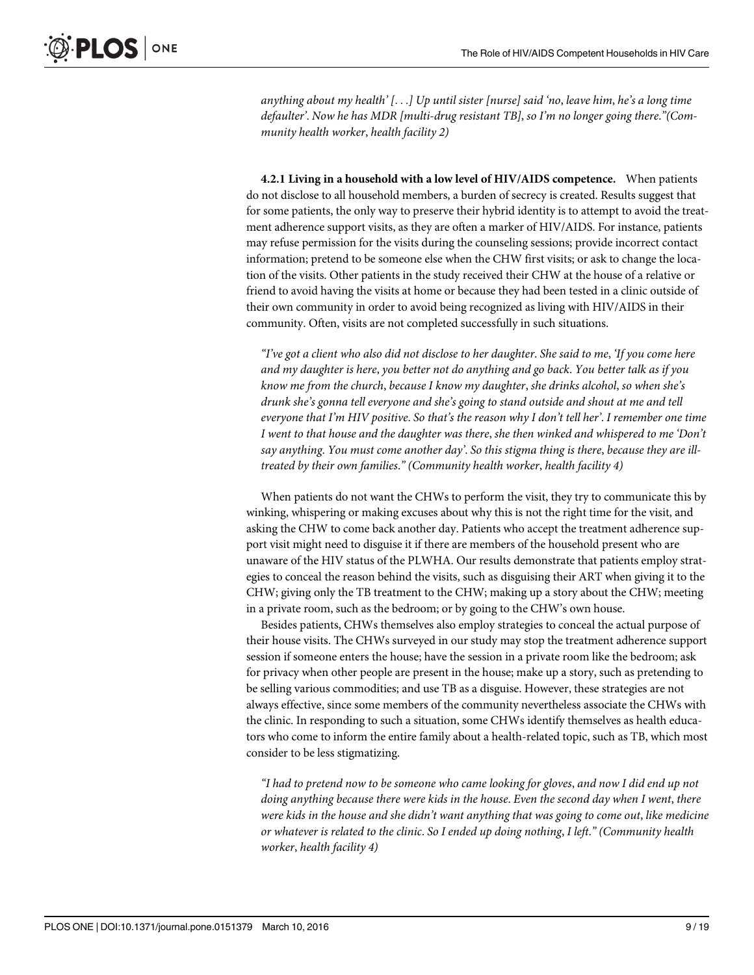anything about my health' [...] Up until sister [nurse] said 'no, leave him, he's a long time defaulter'. Now he has MDR [multi-drug resistant TB], so I'm no longer going there."(Community health worker, health facility 2)

4.2.1 Living in a household with a low level of HIV/AIDS competence. When patients do not disclose to all household members, a burden of secrecy is created. Results suggest that for some patients, the only way to preserve their hybrid identity is to attempt to avoid the treatment adherence support visits, as they are often a marker of HIV/AIDS. For instance, patients may refuse permission for the visits during the counseling sessions; provide incorrect contact information; pretend to be someone else when the CHW first visits; or ask to change the location of the visits. Other patients in the study received their CHW at the house of a relative or friend to avoid having the visits at home or because they had been tested in a clinic outside of their own community in order to avoid being recognized as living with HIV/AIDS in their community. Often, visits are not completed successfully in such situations.

"I've got a client who also did not disclose to her daughter. She said to me, 'If you come here and my daughter is here, you better not do anything and go back. You better talk as if you know me from the church, because I know my daughter, she drinks alcohol, so when she's drunk she's gonna tell everyone and she's going to stand outside and shout at me and tell everyone that I'm HIV positive. So that's the reason why I don't tell her'. I remember one time I went to that house and the daughter was there, she then winked and whispered to me 'Don't say anything. You must come another day'. So this stigma thing is there, because they are illtreated by their own families." (Community health worker, health facility 4)

When patients do not want the CHWs to perform the visit, they try to communicate this by winking, whispering or making excuses about why this is not the right time for the visit, and asking the CHW to come back another day. Patients who accept the treatment adherence support visit might need to disguise it if there are members of the household present who are unaware of the HIV status of the PLWHA. Our results demonstrate that patients employ strategies to conceal the reason behind the visits, such as disguising their ART when giving it to the CHW; giving only the TB treatment to the CHW; making up a story about the CHW; meeting in a private room, such as the bedroom; or by going to the CHW's own house.

Besides patients, CHWs themselves also employ strategies to conceal the actual purpose of their house visits. The CHWs surveyed in our study may stop the treatment adherence support session if someone enters the house; have the session in a private room like the bedroom; ask for privacy when other people are present in the house; make up a story, such as pretending to be selling various commodities; and use TB as a disguise. However, these strategies are not always effective, since some members of the community nevertheless associate the CHWs with the clinic. In responding to such a situation, some CHWs identify themselves as health educators who come to inform the entire family about a health-related topic, such as TB, which most consider to be less stigmatizing.

"I had to pretend now to be someone who came looking for gloves, and now I did end up not doing anything because there were kids in the house. Even the second day when I went, there were kids in the house and she didn't want anything that was going to come out, like medicine or whatever is related to the clinic. So I ended up doing nothing, I left." (Community health worker, health facility 4)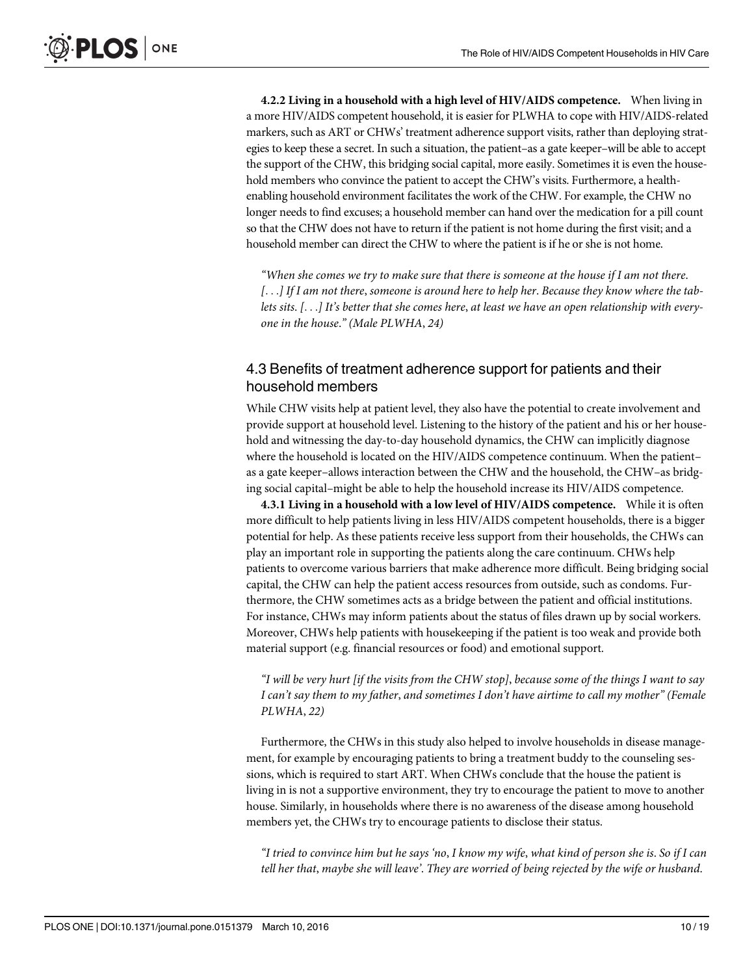4.2.2 Living in a household with a high level of HIV/AIDS competence. When living in a more HIV/AIDS competent household, it is easier for PLWHA to cope with HIV/AIDS-related markers, such as ART or CHWs' treatment adherence support visits, rather than deploying strategies to keep these a secret. In such a situation, the patient–as a gate keeper–will be able to accept the support of the CHW, this bridging social capital, more easily. Sometimes it is even the household members who convince the patient to accept the CHW's visits. Furthermore, a healthenabling household environment facilitates the work of the CHW. For example, the CHW no longer needs to find excuses; a household member can hand over the medication for a pill count so that the CHW does not have to return if the patient is not home during the first visit; and a household member can direct the CHW to where the patient is if he or she is not home.

"When she comes we try to make sure that there is someone at the house if I am not there. [...] If I am not there, someone is around here to help her. Because they know where the tablets sits. [...] It's better that she comes here, at least we have an open relationship with everyone in the house." (Male PLWHA, 24)

## 4.3 Benefits of treatment adherence support for patients and their household members

While CHW visits help at patient level, they also have the potential to create involvement and provide support at household level. Listening to the history of the patient and his or her household and witnessing the day-to-day household dynamics, the CHW can implicitly diagnose where the household is located on the HIV/AIDS competence continuum. When the patient– as a gate keeper–allows interaction between the CHW and the household, the CHW–as bridging social capital–might be able to help the household increase its HIV/AIDS competence.

4.3.1 Living in a household with a low level of HIV/AIDS competence. While it is often more difficult to help patients living in less HIV/AIDS competent households, there is a bigger potential for help. As these patients receive less support from their households, the CHWs can play an important role in supporting the patients along the care continuum. CHWs help patients to overcome various barriers that make adherence more difficult. Being bridging social capital, the CHW can help the patient access resources from outside, such as condoms. Furthermore, the CHW sometimes acts as a bridge between the patient and official institutions. For instance, CHWs may inform patients about the status of files drawn up by social workers. Moreover, CHWs help patients with housekeeping if the patient is too weak and provide both material support (e.g. financial resources or food) and emotional support.

"I will be very hurt [if the visits from the CHW stop], because some of the things I want to say I can't say them to my father, and sometimes I don't have airtime to call my mother" (Female PLWHA, 22)

Furthermore, the CHWs in this study also helped to involve households in disease management, for example by encouraging patients to bring a treatment buddy to the counseling sessions, which is required to start ART. When CHWs conclude that the house the patient is living in is not a supportive environment, they try to encourage the patient to move to another house. Similarly, in households where there is no awareness of the disease among household members yet, the CHWs try to encourage patients to disclose their status.

"I tried to convince him but he says 'no, I know my wife, what kind of person she is. So if I can tell her that, maybe she will leave'. They are worried of being rejected by the wife or husband.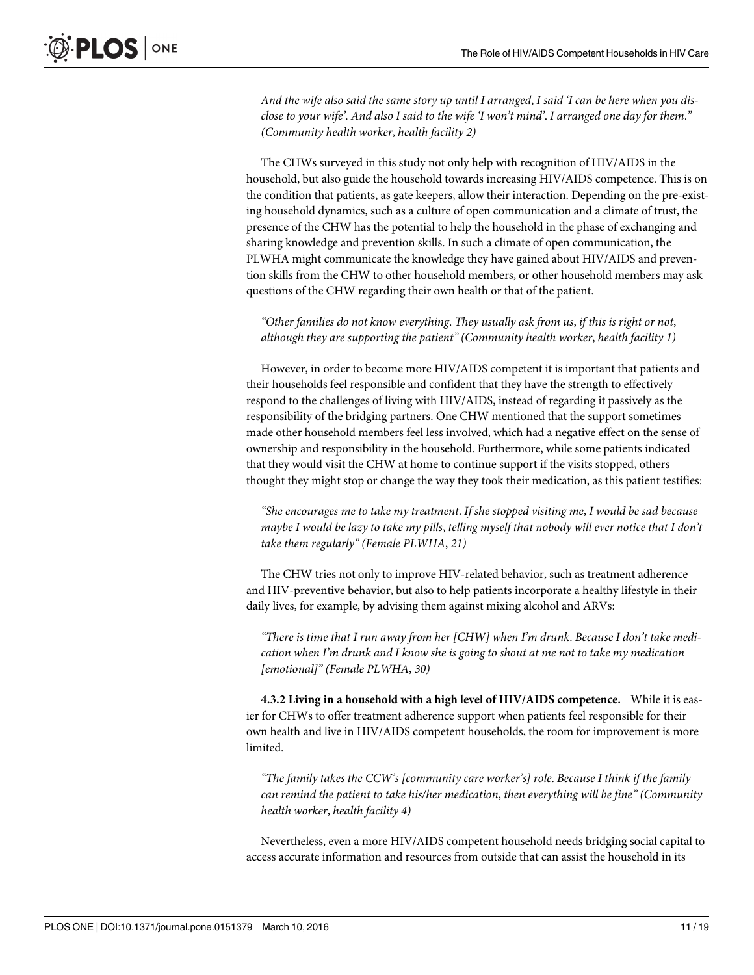And the wife also said the same story up until I arranged, I said 'I can be here when you disclose to your wife'. And also I said to the wife 'I won't mind'. I arranged one day for them." (Community health worker, health facility 2)

The CHWs surveyed in this study not only help with recognition of HIV/AIDS in the household, but also guide the household towards increasing HIV/AIDS competence. This is on the condition that patients, as gate keepers, allow their interaction. Depending on the pre-existing household dynamics, such as a culture of open communication and a climate of trust, the presence of the CHW has the potential to help the household in the phase of exchanging and sharing knowledge and prevention skills. In such a climate of open communication, the PLWHA might communicate the knowledge they have gained about HIV/AIDS and prevention skills from the CHW to other household members, or other household members may ask questions of the CHW regarding their own health or that of the patient.

"Other families do not know everything. They usually ask from us, if this is right or not, although they are supporting the patient" (Community health worker, health facility 1)

However, in order to become more HIV/AIDS competent it is important that patients and their households feel responsible and confident that they have the strength to effectively respond to the challenges of living with HIV/AIDS, instead of regarding it passively as the responsibility of the bridging partners. One CHW mentioned that the support sometimes made other household members feel less involved, which had a negative effect on the sense of ownership and responsibility in the household. Furthermore, while some patients indicated that they would visit the CHW at home to continue support if the visits stopped, others thought they might stop or change the way they took their medication, as this patient testifies:

"She encourages me to take my treatment. If she stopped visiting me, I would be sad because maybe I would be lazy to take my pills, telling myself that nobody will ever notice that I don't take them regularly" (Female PLWHA, 21)

The CHW tries not only to improve HIV-related behavior, such as treatment adherence and HIV-preventive behavior, but also to help patients incorporate a healthy lifestyle in their daily lives, for example, by advising them against mixing alcohol and ARVs:

"There is time that I run away from her [CHW] when I'm drunk. Because I don't take medication when I'm drunk and I know she is going to shout at me not to take my medication [emotional]" (Female PLWHA, 30)

4.3.2 Living in a household with a high level of HIV/AIDS competence. While it is easier for CHWs to offer treatment adherence support when patients feel responsible for their own health and live in HIV/AIDS competent households, the room for improvement is more limited.

"The family takes the CCW's [community care worker's] role. Because I think if the family can remind the patient to take his/her medication, then everything will be fine" (Community health worker, health facility 4)

Nevertheless, even a more HIV/AIDS competent household needs bridging social capital to access accurate information and resources from outside that can assist the household in its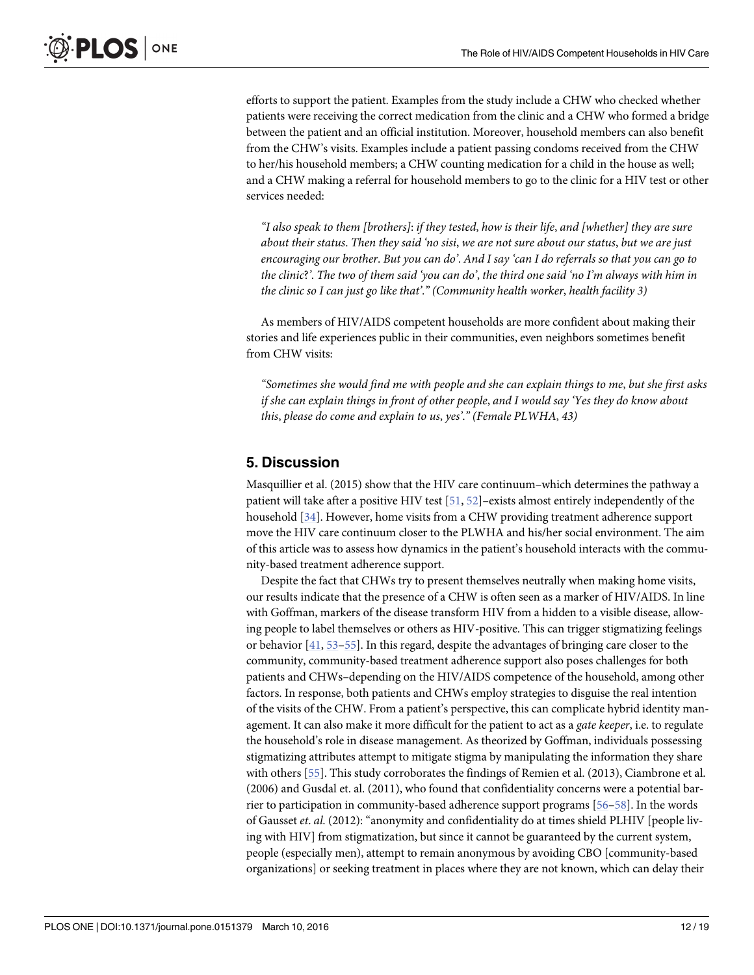<span id="page-11-0"></span>efforts to support the patient. Examples from the study include a CHW who checked whether patients were receiving the correct medication from the clinic and a CHW who formed a bridge between the patient and an official institution. Moreover, household members can also benefit from the CHW's visits. Examples include a patient passing condoms received from the CHW to her/his household members; a CHW counting medication for a child in the house as well; and a CHW making a referral for household members to go to the clinic for a HIV test or other services needed:

"I also speak to them [brothers]: if they tested, how is their life, and [whether] they are sure about their status. Then they said 'no sisi, we are not sure about our status, but we are just encouraging our brother. But you can do'. And I say 'can I do referrals so that you can go to the clinic?'. The two of them said 'you can do', the third one said 'no I'm always with him in the clinic so I can just go like that'." (Community health worker, health facility 3)

As members of HIV/AIDS competent households are more confident about making their stories and life experiences public in their communities, even neighbors sometimes benefit from CHW visits:

"Sometimes she would find me with people and she can explain things to me, but she first asks if she can explain things in front of other people, and I would say 'Yes they do know about this, please do come and explain to us, yes'." (Female PLWHA, 43)

#### 5. Discussion

Masquillier et al. (2015) show that the HIV care continuum–which determines the pathway a patient will take after a positive HIV test [[51,](#page-17-0) [52\]](#page-17-0)-exists almost entirely independently of the household [\[34\]](#page-16-0). However, home visits from a CHW providing treatment adherence support move the HIV care continuum closer to the PLWHA and his/her social environment. The aim of this article was to assess how dynamics in the patient's household interacts with the community-based treatment adherence support.

Despite the fact that CHWs try to present themselves neutrally when making home visits, our results indicate that the presence of a CHW is often seen as a marker of HIV/AIDS. In line with Goffman, markers of the disease transform HIV from a hidden to a visible disease, allowing people to label themselves or others as HIV-positive. This can trigger stigmatizing feelings or behavior [\[41,](#page-16-0) [53](#page-17-0)–[55](#page-17-0)]. In this regard, despite the advantages of bringing care closer to the community, community-based treatment adherence support also poses challenges for both patients and CHWs–depending on the HIV/AIDS competence of the household, among other factors. In response, both patients and CHWs employ strategies to disguise the real intention of the visits of the CHW. From a patient's perspective, this can complicate hybrid identity management. It can also make it more difficult for the patient to act as a gate keeper, i.e. to regulate the household's role in disease management. As theorized by Goffman, individuals possessing stigmatizing attributes attempt to mitigate stigma by manipulating the information they share with others [\[55\]](#page-17-0). This study corroborates the findings of Remien et al. (2013), Ciambrone et al. (2006) and Gusdal et. al. (2011), who found that confidentiality concerns were a potential barrier to participation in community-based adherence support programs [[56](#page-17-0)–[58\]](#page-17-0). In the words of Gausset et. al. (2012): "anonymity and confidentiality do at times shield PLHIV [people living with HIV] from stigmatization, but since it cannot be guaranteed by the current system, people (especially men), attempt to remain anonymous by avoiding CBO [community-based organizations] or seeking treatment in places where they are not known, which can delay their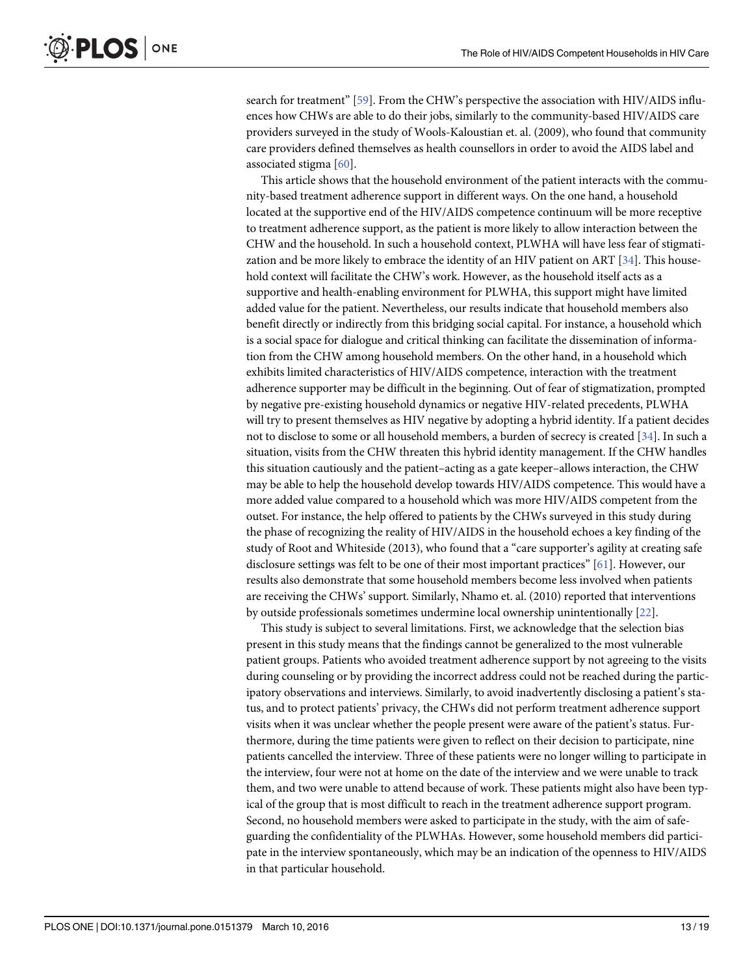<span id="page-12-0"></span>search for treatment" [[59\]](#page-17-0). From the CHW's perspective the association with HIV/AIDS influences how CHWs are able to do their jobs, similarly to the community-based HIV/AIDS care providers surveyed in the study of Wools-Kaloustian et. al. (2009), who found that community care providers defined themselves as health counsellors in order to avoid the AIDS label and associated stigma [\[60](#page-17-0)].

This article shows that the household environment of the patient interacts with the community-based treatment adherence support in different ways. On the one hand, a household located at the supportive end of the HIV/AIDS competence continuum will be more receptive to treatment adherence support, as the patient is more likely to allow interaction between the CHW and the household. In such a household context, PLWHA will have less fear of stigmatization and be more likely to embrace the identity of an HIV patient on ART [\[34](#page-16-0)]. This household context will facilitate the CHW's work. However, as the household itself acts as a supportive and health-enabling environment for PLWHA, this support might have limited added value for the patient. Nevertheless, our results indicate that household members also benefit directly or indirectly from this bridging social capital. For instance, a household which is a social space for dialogue and critical thinking can facilitate the dissemination of information from the CHW among household members. On the other hand, in a household which exhibits limited characteristics of HIV/AIDS competence, interaction with the treatment adherence supporter may be difficult in the beginning. Out of fear of stigmatization, prompted by negative pre-existing household dynamics or negative HIV-related precedents, PLWHA will try to present themselves as HIV negative by adopting a hybrid identity. If a patient decides not to disclose to some or all household members, a burden of secrecy is created [[34\]](#page-16-0). In such a situation, visits from the CHW threaten this hybrid identity management. If the CHW handles this situation cautiously and the patient–acting as a gate keeper–allows interaction, the CHW may be able to help the household develop towards HIV/AIDS competence. This would have a more added value compared to a household which was more HIV/AIDS competent from the outset. For instance, the help offered to patients by the CHWs surveyed in this study during the phase of recognizing the reality of HIV/AIDS in the household echoes a key finding of the study of Root and Whiteside (2013), who found that a "care supporter's agility at creating safe disclosure settings was felt to be one of their most important practices" [[61\]](#page-17-0). However, our results also demonstrate that some household members become less involved when patients are receiving the CHWs' support. Similarly, Nhamo et. al. (2010) reported that interventions by outside professionals sometimes undermine local ownership unintentionally [[22](#page-16-0)].

This study is subject to several limitations. First, we acknowledge that the selection bias present in this study means that the findings cannot be generalized to the most vulnerable patient groups. Patients who avoided treatment adherence support by not agreeing to the visits during counseling or by providing the incorrect address could not be reached during the participatory observations and interviews. Similarly, to avoid inadvertently disclosing a patient's status, and to protect patients' privacy, the CHWs did not perform treatment adherence support visits when it was unclear whether the people present were aware of the patient's status. Furthermore, during the time patients were given to reflect on their decision to participate, nine patients cancelled the interview. Three of these patients were no longer willing to participate in the interview, four were not at home on the date of the interview and we were unable to track them, and two were unable to attend because of work. These patients might also have been typical of the group that is most difficult to reach in the treatment adherence support program. Second, no household members were asked to participate in the study, with the aim of safeguarding the confidentiality of the PLWHAs. However, some household members did participate in the interview spontaneously, which may be an indication of the openness to HIV/AIDS in that particular household.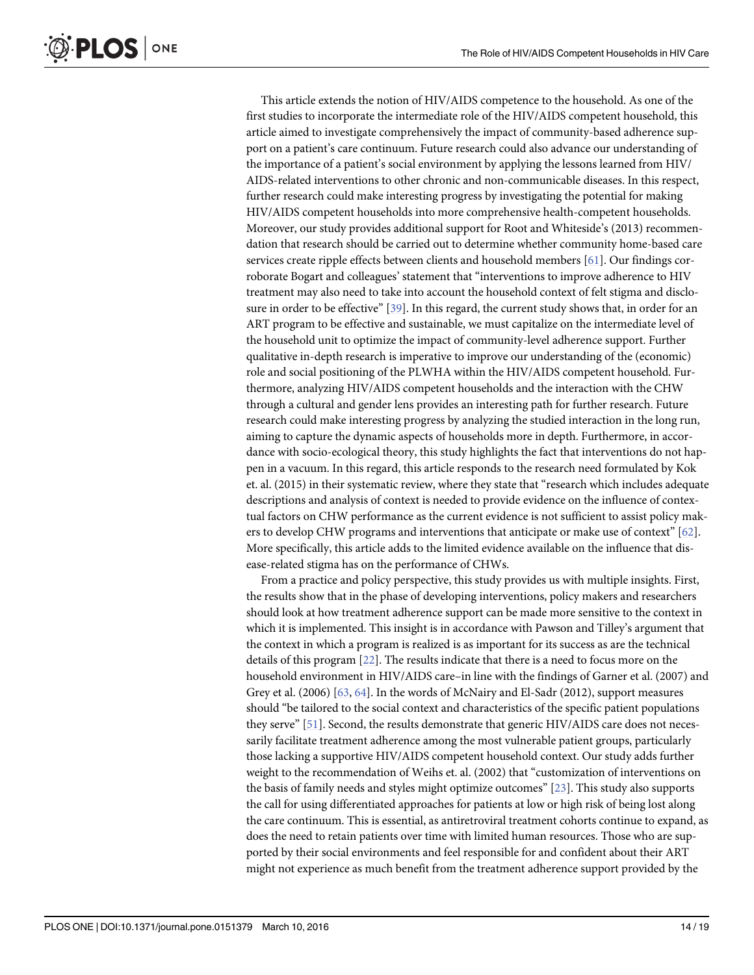<span id="page-13-0"></span>PLOS ONE

This article extends the notion of HIV/AIDS competence to the household. As one of the first studies to incorporate the intermediate role of the HIV/AIDS competent household, this article aimed to investigate comprehensively the impact of community-based adherence support on a patient's care continuum. Future research could also advance our understanding of the importance of a patient's social environment by applying the lessons learned from HIV/ AIDS-related interventions to other chronic and non-communicable diseases. In this respect, further research could make interesting progress by investigating the potential for making HIV/AIDS competent households into more comprehensive health-competent households. Moreover, our study provides additional support for Root and Whiteside's (2013) recommendation that research should be carried out to determine whether community home-based care services create ripple effects between clients and household members [\[61](#page-17-0)]. Our findings corroborate Bogart and colleagues' statement that "interventions to improve adherence to HIV treatment may also need to take into account the household context of felt stigma and disclosure in order to be effective" [[39\]](#page-16-0). In this regard, the current study shows that, in order for an ART program to be effective and sustainable, we must capitalize on the intermediate level of the household unit to optimize the impact of community-level adherence support. Further qualitative in-depth research is imperative to improve our understanding of the (economic) role and social positioning of the PLWHA within the HIV/AIDS competent household. Furthermore, analyzing HIV/AIDS competent households and the interaction with the CHW through a cultural and gender lens provides an interesting path for further research. Future research could make interesting progress by analyzing the studied interaction in the long run, aiming to capture the dynamic aspects of households more in depth. Furthermore, in accordance with socio-ecological theory, this study highlights the fact that interventions do not happen in a vacuum. In this regard, this article responds to the research need formulated by Kok et. al. (2015) in their systematic review, where they state that "research which includes adequate descriptions and analysis of context is needed to provide evidence on the influence of contextual factors on CHW performance as the current evidence is not sufficient to assist policy makers to develop CHW programs and interventions that anticipate or make use of context" [[62\]](#page-17-0). More specifically, this article adds to the limited evidence available on the influence that disease-related stigma has on the performance of CHWs.

From a practice and policy perspective, this study provides us with multiple insights. First, the results show that in the phase of developing interventions, policy makers and researchers should look at how treatment adherence support can be made more sensitive to the context in which it is implemented. This insight is in accordance with Pawson and Tilley's argument that the context in which a program is realized is as important for its success as are the technical details of this program [[22](#page-16-0)]. The results indicate that there is a need to focus more on the household environment in HIV/AIDS care–in line with the findings of Garner et al. (2007) and Grey et al. (2006) [\[63,](#page-17-0) [64\]](#page-17-0). In the words of McNairy and El-Sadr (2012), support measures should "be tailored to the social context and characteristics of the specific patient populations they serve" [\[51\]](#page-17-0). Second, the results demonstrate that generic HIV/AIDS care does not necessarily facilitate treatment adherence among the most vulnerable patient groups, particularly those lacking a supportive HIV/AIDS competent household context. Our study adds further weight to the recommendation of Weihs et. al. (2002) that "customization of interventions on the basis of family needs and styles might optimize outcomes" [\[23](#page-16-0)]. This study also supports the call for using differentiated approaches for patients at low or high risk of being lost along the care continuum. This is essential, as antiretroviral treatment cohorts continue to expand, as does the need to retain patients over time with limited human resources. Those who are supported by their social environments and feel responsible for and confident about their ART might not experience as much benefit from the treatment adherence support provided by the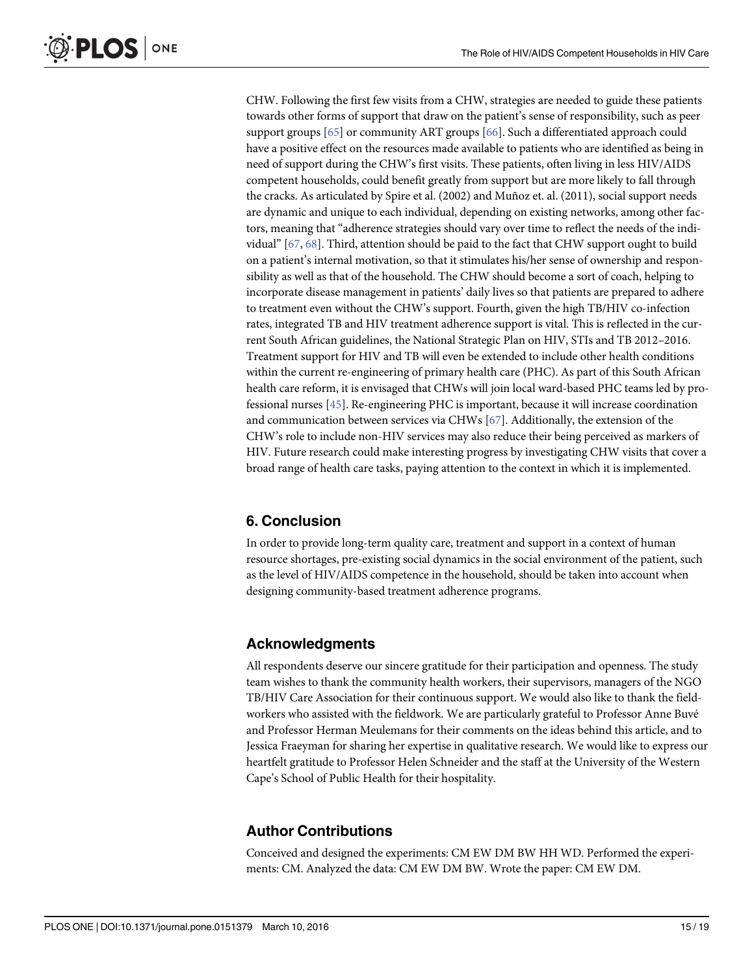<span id="page-14-0"></span>CHW. Following the first few visits from a CHW, strategies are needed to guide these patients towards other forms of support that draw on the patient's sense of responsibility, such as peer support groups [\[65\]](#page-17-0) or community ART groups [\[66\]](#page-17-0). Such a differentiated approach could have a positive effect on the resources made available to patients who are identified as being in need of support during the CHW's first visits. These patients, often living in less HIV/AIDS competent households, could benefit greatly from support but are more likely to fall through the cracks. As articulated by Spire et al. (2002) and Muñoz et. al. (2011), social support needs are dynamic and unique to each individual, depending on existing networks, among other factors, meaning that "adherence strategies should vary over time to reflect the needs of the individual"  $[67, 68]$  $[67, 68]$  $[67, 68]$ . Third, attention should be paid to the fact that CHW support ought to build on a patient's internal motivation, so that it stimulates his/her sense of ownership and responsibility as well as that of the household. The CHW should become a sort of coach, helping to incorporate disease management in patients' daily lives so that patients are prepared to adhere to treatment even without the CHW's support. Fourth, given the high TB/HIV co-infection rates, integrated TB and HIV treatment adherence support is vital. This is reflected in the current South African guidelines, the National Strategic Plan on HIV, STIs and TB 2012–2016. Treatment support for HIV and TB will even be extended to include other health conditions within the current re-engineering of primary health care (PHC). As part of this South African health care reform, it is envisaged that CHWs will join local ward-based PHC teams led by professional nurses [[45\]](#page-17-0). Re-engineering PHC is important, because it will increase coordination and communication between services via CHWs [\[67](#page-17-0)]. Additionally, the extension of the CHW's role to include non-HIV services may also reduce their being perceived as markers of HIV. Future research could make interesting progress by investigating CHW visits that cover a broad range of health care tasks, paying attention to the context in which it is implemented.

### 6. Conclusion

In order to provide long-term quality care, treatment and support in a context of human resource shortages, pre-existing social dynamics in the social environment of the patient, such as the level of HIV/AIDS competence in the household, should be taken into account when designing community-based treatment adherence programs.

### Acknowledgments

All respondents deserve our sincere gratitude for their participation and openness. The study team wishes to thank the community health workers, their supervisors, managers of the NGO TB/HIV Care Association for their continuous support. We would also like to thank the fieldworkers who assisted with the fieldwork. We are particularly grateful to Professor Anne Buvé and Professor Herman Meulemans for their comments on the ideas behind this article, and to Jessica Fraeyman for sharing her expertise in qualitative research. We would like to express our heartfelt gratitude to Professor Helen Schneider and the staff at the University of the Western Cape's School of Public Health for their hospitality.

## Author Contributions

Conceived and designed the experiments: CM EW DM BW HH WD. Performed the experiments: CM. Analyzed the data: CM EW DM BW. Wrote the paper: CM EW DM.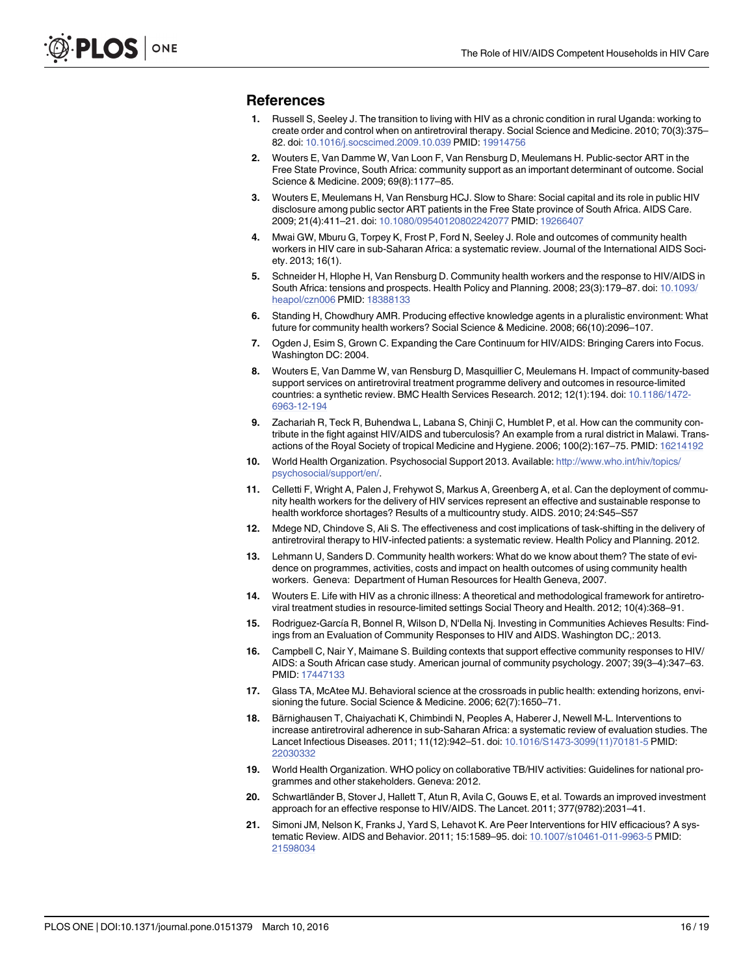#### <span id="page-15-0"></span>References

- [1.](#page-1-0) Russell S, Seeley J. The transition to living with HIV as a chronic condition in rural Uganda: working to create order and control when on antiretroviral therapy. Social Science and Medicine. 2010; 70(3):375– 82. doi: [10.1016/j.socscimed.2009.10.039](http://dx.doi.org/10.1016/j.socscimed.2009.10.039) PMID: [19914756](http://www.ncbi.nlm.nih.gov/pubmed/19914756)
- 2. Wouters E, Van Damme W, Van Loon F, Van Rensburg D, Meulemans H. Public-sector ART in the Free State Province, South Africa: community support as an important determinant of outcome. Social Science & Medicine. 2009; 69(8):1177–85.
- [3.](#page-1-0) Wouters E, Meulemans H, Van Rensburg HCJ. Slow to Share: Social capital and its role in public HIV disclosure among public sector ART patients in the Free State province of South Africa. AIDS Care. 2009; 21(4):411–21. doi: [10.1080/09540120802242077](http://dx.doi.org/10.1080/09540120802242077) PMID: [19266407](http://www.ncbi.nlm.nih.gov/pubmed/19266407)
- [4.](#page-1-0) Mwai GW, Mburu G, Torpey K, Frost P, Ford N, Seeley J. Role and outcomes of community health workers in HIV care in sub-Saharan Africa: a systematic review. Journal of the International AIDS Society. 2013; 16(1).
- [5.](#page-1-0) Schneider H, Hlophe H, Van Rensburg D. Community health workers and the response to HIV/AIDS in South Africa: tensions and prospects. Health Policy and Planning. 2008; 23(3):179–87. doi: [10.1093/](http://dx.doi.org/10.1093/heapol/czn006) [heapol/czn006](http://dx.doi.org/10.1093/heapol/czn006) PMID: [18388133](http://www.ncbi.nlm.nih.gov/pubmed/18388133)
- 6. Standing H, Chowdhury AMR. Producing effective knowledge agents in a pluralistic environment: What future for community health workers? Social Science & Medicine. 2008; 66(10):2096–107.
- [7.](#page-1-0) Ogden J, Esim S, Grown C. Expanding the Care Continuum for HIV/AIDS: Bringing Carers into Focus. Washington DC: 2004.
- [8.](#page-1-0) Wouters E, Van Damme W, van Rensburg D, Masquillier C, Meulemans H. Impact of community-based support services on antiretroviral treatment programme delivery and outcomes in resource-limited countries: a synthetic review. BMC Health Services Research. 2012; 12(1):194. doi: [10.1186/1472-](http://dx.doi.org/10.1186/1472-6963-12-194) [6963-12-194](http://dx.doi.org/10.1186/1472-6963-12-194)
- 9. Zachariah R, Teck R, Buhendwa L, Labana S, Chinji C, Humblet P, et al. How can the community contribute in the fight against HIV/AIDS and tuberculosis? An example from a rural district in Malawi. Transactions of the Royal Society of tropical Medicine and Hygiene. 2006; 100(2):167–75. PMID: [16214192](http://www.ncbi.nlm.nih.gov/pubmed/16214192)
- 10. World Health Organization. Psychosocial Support 2013. Available: [http://www.who.int/hiv/topics/](http://www.who.int/hiv/topics/psychosocial/support/en/) [psychosocial/support/en/](http://www.who.int/hiv/topics/psychosocial/support/en/).
- [11.](#page-1-0) Celletti F, Wright A, Palen J, Frehywot S, Markus A, Greenberg A, et al. Can the deployment of community health workers for the delivery of HIV services represent an effective and sustainable response to health workforce shortages? Results of a multicountry study. AIDS. 2010; 24:S45–S57
- 12. Mdege ND, Chindove S, Ali S. The effectiveness and cost implications of task-shifting in the delivery of antiretroviral therapy to HIV-infected patients: a systematic review. Health Policy and Planning. 2012.
- [13.](#page-1-0) Lehmann U, Sanders D. Community health workers: What do we know about them? The state of evidence on programmes, activities, costs and impact on health outcomes of using community health workers. Geneva: Department of Human Resources for Health Geneva, 2007.
- [14.](#page-1-0) Wouters E. Life with HIV as a chronic illness: A theoretical and methodological framework for antiretroviral treatment studies in resource-limited settings Social Theory and Health. 2012; 10(4):368–91.
- [15.](#page-1-0) Rodriguez-García R, Bonnel R, Wilson D, N'Della Nj. Investing in Communities Achieves Results: Findings from an Evaluation of Community Responses to HIV and AIDS. Washington DC,: 2013.
- [16.](#page-1-0) Campbell C, Nair Y, Maimane S. Building contexts that support effective community responses to HIV/ AIDS: a South African case study. American journal of community psychology. 2007; 39(3–4):347–63. PMID: [17447133](http://www.ncbi.nlm.nih.gov/pubmed/17447133)
- [17.](#page-1-0) Glass TA, McAtee MJ. Behavioral science at the crossroads in public health: extending horizons, envisioning the future. Social Science & Medicine. 2006; 62(7):1650–71.
- [18.](#page-1-0) Bärnighausen T, Chaiyachati K, Chimbindi N, Peoples A, Haberer J, Newell M-L. Interventions to increase antiretroviral adherence in sub-Saharan Africa: a systematic review of evaluation studies. The Lancet Infectious Diseases. 2011; 11(12):942–51. doi: [10.1016/S1473-3099\(11\)70181-5](http://dx.doi.org/10.1016/S1473-3099(11)70181-5) PMID: [22030332](http://www.ncbi.nlm.nih.gov/pubmed/22030332)
- 19. World Health Organization. WHO policy on collaborative TB/HIV activities: Guidelines for national programmes and other stakeholders. Geneva: 2012.
- 20. Schwartländer B, Stover J, Hallett T, Atun R, Avila C, Gouws E, et al. Towards an improved investment approach for an effective response to HIV/AIDS. The Lancet. 2011; 377(9782):2031–41.
- [21.](#page-1-0) Simoni JM, Nelson K, Franks J, Yard S, Lehavot K. Are Peer Interventions for HIV efficacious? A systematic Review. AIDS and Behavior. 2011; 15:1589–95. doi: [10.1007/s10461-011-9963-5](http://dx.doi.org/10.1007/s10461-011-9963-5) PMID: [21598034](http://www.ncbi.nlm.nih.gov/pubmed/21598034)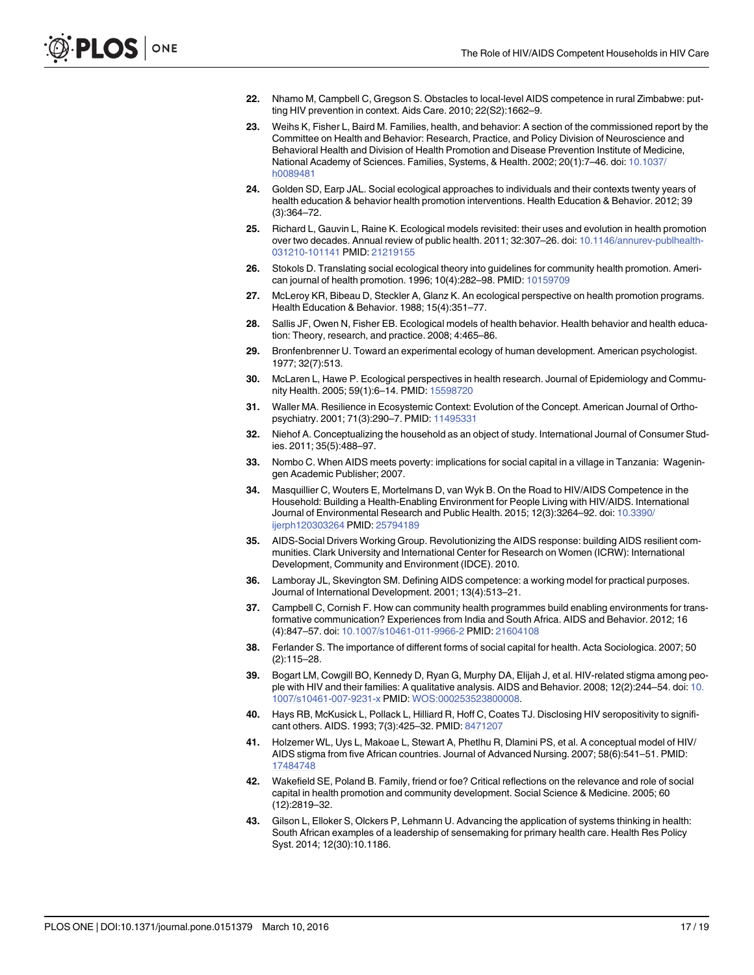- <span id="page-16-0"></span>[22.](#page-1-0) Nhamo M, Campbell C, Gregson S. Obstacles to local-level AIDS competence in rural Zimbabwe: putting HIV prevention in context. Aids Care. 2010; 22(S2):1662–9.
- [23.](#page-1-0) Weihs K, Fisher L, Baird M. Families, health, and behavior: A section of the commissioned report by the Committee on Health and Behavior: Research, Practice, and Policy Division of Neuroscience and Behavioral Health and Division of Health Promotion and Disease Prevention Institute of Medicine, National Academy of Sciences. Families, Systems, & Health. 2002; 20(1):7–46. doi: [10.1037/](http://dx.doi.org/10.1037/h0089481) [h0089481](http://dx.doi.org/10.1037/h0089481)
- 24. Golden SD, Earp JAL. Social ecological approaches to individuals and their contexts twenty years of health education & behavior health promotion interventions. Health Education & Behavior. 2012; 39 (3):364–72.
- 25. Richard L, Gauvin L, Raine K. Ecological models revisited: their uses and evolution in health promotion over two decades. Annual review of public health. 2011; 32:307–26. doi: [10.1146/annurev-publhealth-](http://dx.doi.org/10.1146/annurev-publhealth-031210-101141)[031210-101141](http://dx.doi.org/10.1146/annurev-publhealth-031210-101141) PMID: [21219155](http://www.ncbi.nlm.nih.gov/pubmed/21219155)
- [26.](#page-1-0) Stokols D. Translating social ecological theory into guidelines for community health promotion. American journal of health promotion. 1996; 10(4):282–98. PMID: [10159709](http://www.ncbi.nlm.nih.gov/pubmed/10159709)
- 27. McLeroy KR, Bibeau D, Steckler A, Glanz K. An ecological perspective on health promotion programs. Health Education & Behavior. 1988; 15(4):351–77.
- 28. Sallis JF, Owen N, Fisher EB. Ecological models of health behavior. Health behavior and health education: Theory, research, and practice. 2008; 4:465–86.
- 29. Bronfenbrenner U. Toward an experimental ecology of human development. American psychologist. 1977; 32(7):513.
- [30.](#page-1-0) McLaren L, Hawe P. Ecological perspectives in health research. Journal of Epidemiology and Community Health. 2005; 59(1):6–14. PMID: [15598720](http://www.ncbi.nlm.nih.gov/pubmed/15598720)
- [31.](#page-1-0) Waller MA. Resilience in Ecosystemic Context: Evolution of the Concept. American Journal of Orthopsychiatry. 2001; 71(3):290–7. PMID: [11495331](http://www.ncbi.nlm.nih.gov/pubmed/11495331)
- [32.](#page-2-0) Niehof A. Conceptualizing the household as an object of study. International Journal of Consumer Studies. 2011; 35(5):488–97.
- [33.](#page-2-0) Nombo C. When AIDS meets poverty: implications for social capital in a village in Tanzania: Wageningen Academic Publisher; 2007.
- [34.](#page-2-0) Masquillier C, Wouters E, Mortelmans D, van Wyk B. On the Road to HIV/AIDS Competence in the Household: Building a Health-Enabling Environment for People Living with HIV/AIDS. International Journal of Environmental Research and Public Health. 2015; 12(3):3264–92. doi: [10.3390/](http://dx.doi.org/10.3390/ijerph120303264) [ijerph120303264](http://dx.doi.org/10.3390/ijerph120303264) PMID: [25794189](http://www.ncbi.nlm.nih.gov/pubmed/25794189)
- [35.](#page-2-0) AIDS-Social Drivers Working Group. Revolutionizing the AIDS response: building AIDS resilient communities. Clark University and International Center for Research on Women (ICRW): International Development, Community and Environment (IDCE). 2010.
- [36.](#page-2-0) Lamboray JL, Skevington SM. Defining AIDS competence: a working model for practical purposes. Journal of International Development. 2001; 13(4):513–21.
- [37.](#page-2-0) Campbell C, Cornish F. How can community health programmes build enabling environments for transformative communication? Experiences from India and South Africa. AIDS and Behavior. 2012; 16 (4):847–57. doi: [10.1007/s10461-011-9966-2](http://dx.doi.org/10.1007/s10461-011-9966-2) PMID: [21604108](http://www.ncbi.nlm.nih.gov/pubmed/21604108)
- [38.](#page-2-0) Ferlander S. The importance of different forms of social capital for health. Acta Sociologica. 2007; 50 (2):115–28.
- [39.](#page-2-0) Bogart LM, Cowgill BO, Kennedy D, Ryan G, Murphy DA, Elijah J, et al. HIV-related stigma among people with HIV and their families: A qualitative analysis. AIDS and Behavior. 2008; 12(2):244–54. doi: [10.](http://dx.doi.org/10.1007/s10461-007-9231-x) [1007/s10461-007-9231-x](http://dx.doi.org/10.1007/s10461-007-9231-x) PMID: [WOS:000253523800008.](http://www.ncbi.nlm.nih.gov/pubmed/WOS:000253523800008)
- [40.](#page-3-0) Hays RB, McKusick L, Pollack L, Hilliard R, Hoff C, Coates TJ. Disclosing HIV seropositivity to significant others. AIDS. 1993; 7(3):425–32. PMID: [8471207](http://www.ncbi.nlm.nih.gov/pubmed/8471207)
- [41.](#page-3-0) Holzemer WL, Uys L, Makoae L, Stewart A, Phetlhu R, Dlamini PS, et al. A conceptual model of HIV/ AIDS stigma from five African countries. Journal of Advanced Nursing. 2007; 58(6):541–51. PMID: [17484748](http://www.ncbi.nlm.nih.gov/pubmed/17484748)
- [42.](#page-3-0) Wakefield SE, Poland B. Family, friend or foe? Critical reflections on the relevance and role of social capital in health promotion and community development. Social Science & Medicine. 2005; 60 (12):2819–32.
- [43.](#page-3-0) Gilson L, Elloker S, Olckers P, Lehmann U. Advancing the application of systems thinking in health: South African examples of a leadership of sensemaking for primary health care. Health Res Policy Syst. 2014; 12(30):10.1186.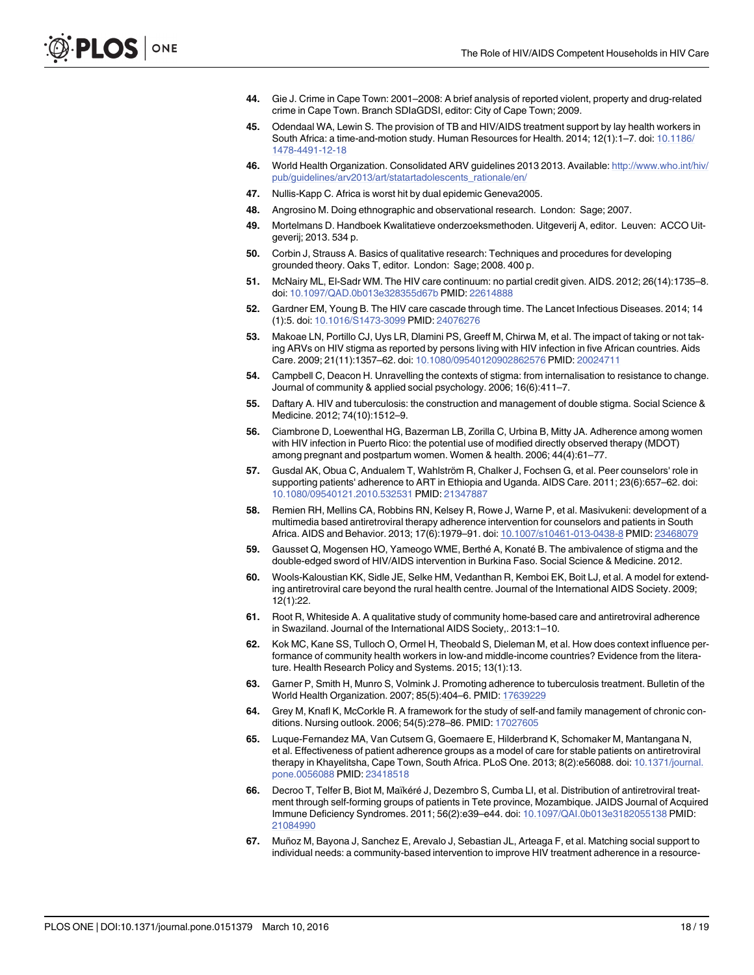- <span id="page-17-0"></span>[44.](#page-3-0) Gie J. Crime in Cape Town: 2001–2008: A brief analysis of reported violent, property and drug-related crime in Cape Town. Branch SDIaGDSI, editor: City of Cape Town; 2009.
- [45.](#page-3-0) Odendaal WA, Lewin S. The provision of TB and HIV/AIDS treatment support by lay health workers in South Africa: a time-and-motion study. Human Resources for Health. 2014; 12(1):1–7. doi: [10.1186/](http://dx.doi.org/10.1186/1478-4491-12-18) [1478-4491-12-18](http://dx.doi.org/10.1186/1478-4491-12-18)
- [46.](#page-3-0) World Health Organization. Consolidated ARV guidelines 2013 2013. Available: [http://www.who.int/hiv/](http://www.who.int/hiv/pub/guidelines/arv2013/art/statartadolescents_rationale/en/) [pub/guidelines/arv2013/art/statartadolescents\\_rationale/en/](http://www.who.int/hiv/pub/guidelines/arv2013/art/statartadolescents_rationale/en/)
- [47.](#page-3-0) Nullis-Kapp C. Africa is worst hit by dual epidemic Geneva2005.
- [48.](#page-4-0) Angrosino M. Doing ethnographic and observational research. London: Sage; 2007.
- [49.](#page-5-0) Mortelmans D. Handboek Kwalitatieve onderzoeksmethoden. Uitgeverij A, editor. Leuven: ACCO Uitgeverij; 2013. 534 p.
- [50.](#page-6-0) Corbin J, Strauss A. Basics of qualitative research: Techniques and procedures for developing grounded theory. Oaks T, editor. London: Sage; 2008. 400 p.
- [51.](#page-11-0) McNairy ML, El-Sadr WM. The HIV care continuum: no partial credit given. AIDS. 2012; 26(14):1735–8. doi: [10.1097/QAD.0b013e328355d67b](http://dx.doi.org/10.1097/QAD.0b013e328355d67b) PMID: [22614888](http://www.ncbi.nlm.nih.gov/pubmed/22614888)
- [52.](#page-11-0) Gardner EM, Young B. The HIV care cascade through time. The Lancet Infectious Diseases. 2014; 14 (1):5. doi: [10.1016/S1473-3099](http://dx.doi.org/10.1016/S1473-3099) PMID: [24076276](http://www.ncbi.nlm.nih.gov/pubmed/24076276)
- [53.](#page-11-0) Makoae LN, Portillo CJ, Uys LR, Dlamini PS, Greeff M, Chirwa M, et al. The impact of taking or not taking ARVs on HIV stigma as reported by persons living with HIV infection in five African countries. Aids Care. 2009; 21(11):1357–62. doi: [10.1080/09540120902862576](http://dx.doi.org/10.1080/09540120902862576) PMID: [20024711](http://www.ncbi.nlm.nih.gov/pubmed/20024711)
- 54. Campbell C, Deacon H. Unravelling the contexts of stigma: from internalisation to resistance to change. Journal of community & applied social psychology. 2006; 16(6):411–7.
- [55.](#page-11-0) Daftary A. HIV and tuberculosis: the construction and management of double stigma. Social Science & Medicine. 2012; 74(10):1512–9.
- [56.](#page-11-0) Ciambrone D, Loewenthal HG, Bazerman LB, Zorilla C, Urbina B, Mitty JA. Adherence among women with HIV infection in Puerto Rico: the potential use of modified directly observed therapy (MDOT) among pregnant and postpartum women. Women & health. 2006; 44(4):61–77.
- 57. Gusdal AK, Obua C, Andualem T, Wahlström R, Chalker J, Fochsen G, et al. Peer counselors' role in supporting patients' adherence to ART in Ethiopia and Uganda. AIDS Care. 2011; 23(6):657–62. doi: [10.1080/09540121.2010.532531](http://dx.doi.org/10.1080/09540121.2010.532531) PMID: [21347887](http://www.ncbi.nlm.nih.gov/pubmed/21347887)
- [58.](#page-11-0) Remien RH, Mellins CA, Robbins RN, Kelsey R, Rowe J, Warne P, et al. Masivukeni: development of a multimedia based antiretroviral therapy adherence intervention for counselors and patients in South Africa. AIDS and Behavior. 2013; 17(6):1979–91. doi: [10.1007/s10461-013-0438-8](http://dx.doi.org/10.1007/s10461-013-0438-8) PMID: [23468079](http://www.ncbi.nlm.nih.gov/pubmed/23468079)
- [59.](#page-12-0) Gausset Q, Mogensen HO, Yameogo WME, Berthé A, Konaté B. The ambivalence of stigma and the double-edged sword of HIV/AIDS intervention in Burkina Faso. Social Science & Medicine. 2012.
- [60.](#page-12-0) Wools-Kaloustian KK, Sidle JE, Selke HM, Vedanthan R, Kemboi EK, Boit LJ, et al. A model for extending antiretroviral care beyond the rural health centre. Journal of the International AIDS Society. 2009; 12(1):22.
- [61.](#page-12-0) Root R, Whiteside A. A qualitative study of community home-based care and antiretroviral adherence in Swaziland. Journal of the International AIDS Society,. 2013:1–10.
- [62.](#page-13-0) Kok MC, Kane SS, Tulloch O, Ormel H, Theobald S, Dieleman M, et al. How does context influence performance of community health workers in low-and middle-income countries? Evidence from the literature. Health Research Policy and Systems. 2015; 13(1):13.
- [63.](#page-13-0) Garner P, Smith H, Munro S, Volmink J. Promoting adherence to tuberculosis treatment. Bulletin of the World Health Organization. 2007; 85(5):404–6. PMID: [17639229](http://www.ncbi.nlm.nih.gov/pubmed/17639229)
- [64.](#page-13-0) Grey M, Knafl K, McCorkle R. A framework for the study of self-and family management of chronic conditions. Nursing outlook. 2006; 54(5):278–86. PMID: [17027605](http://www.ncbi.nlm.nih.gov/pubmed/17027605)
- [65.](#page-14-0) Luque-Fernandez MA, Van Cutsem G, Goemaere E, Hilderbrand K, Schomaker M, Mantangana N, et al. Effectiveness of patient adherence groups as a model of care for stable patients on antiretroviral therapy in Khayelitsha, Cape Town, South Africa. PLoS One. 2013; 8(2):e56088. doi: [10.1371/journal.](http://dx.doi.org/10.1371/journal.pone.0056088) [pone.0056088](http://dx.doi.org/10.1371/journal.pone.0056088) PMID: [23418518](http://www.ncbi.nlm.nih.gov/pubmed/23418518)
- [66.](#page-14-0) Decroo T, Telfer B, Biot M, Maïkéré J, Dezembro S, Cumba LI, et al. Distribution of antiretroviral treatment through self-forming groups of patients in Tete province, Mozambique. JAIDS Journal of Acquired Immune Deficiency Syndromes. 2011; 56(2):e39–e44. doi: [10.1097/QAI.0b013e3182055138](http://dx.doi.org/10.1097/QAI.0b013e3182055138) PMID: [21084990](http://www.ncbi.nlm.nih.gov/pubmed/21084990)
- [67.](#page-14-0) Muñoz M, Bayona J, Sanchez E, Arevalo J, Sebastian JL, Arteaga F, et al. Matching social support to individual needs: a community-based intervention to improve HIV treatment adherence in a resource-